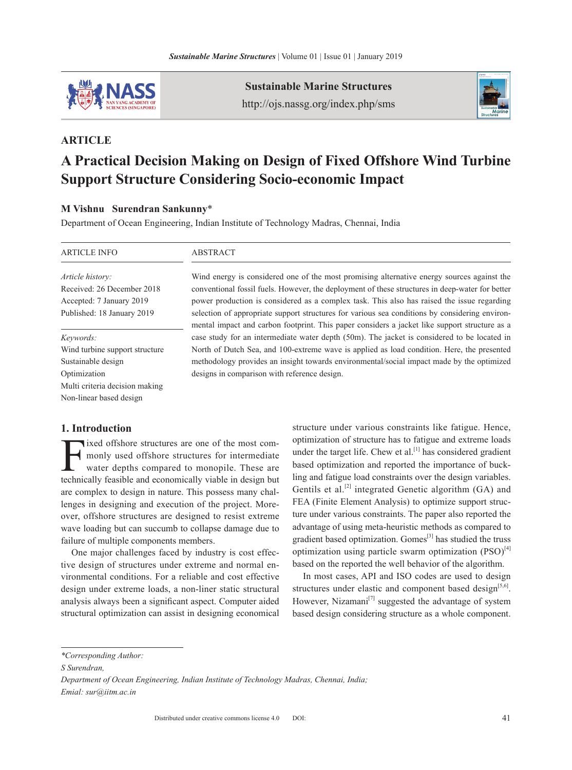

**Sustainable Marine Structures** http://ojs.nassg.org/index.php/sms



# **Article**

# **A Practical Decision Making on Design of Fixed Offshore Wind Turbine Support Structure Considering Socio-economic Impact**

## **M Vishnu Surendran Sankunny**\*

Department of Ocean Engineering, Indian Institute of Technology Madras, Chennai, India

| <b>ARTICLE INFO</b>            | <b>ABSTRACT</b>                                                                                                                                                                                 |
|--------------------------------|-------------------------------------------------------------------------------------------------------------------------------------------------------------------------------------------------|
| Article history:               | Wind energy is considered one of the most promising alternative energy sources against the                                                                                                      |
| Received: 26 December 2018     | conventional fossil fuels. However, the deployment of these structures in deep-water for better                                                                                                 |
| Accepted: 7 January 2019       | power production is considered as a complex task. This also has raised the issue regarding                                                                                                      |
| Published: 18 January 2019     | selection of appropriate support structures for various sea conditions by considering environ-<br>mental impact and carbon footprint. This paper considers a jacket like support structure as a |
| Keywords:                      | case study for an intermediate water depth (50m). The jacket is considered to be located in                                                                                                     |
| Wind turbine support structure | North of Dutch Sea, and 100-extreme wave is applied as load condition. Here, the presented                                                                                                      |
| Sustainable design             | methodology provides an insight towards environmental/social impact made by the optimized                                                                                                       |
| Optimization                   | designs in comparison with reference design.                                                                                                                                                    |
| Multi criteria decision making |                                                                                                                                                                                                 |
| Non-linear based design        |                                                                                                                                                                                                 |

# **1. Introduction**

ixed offshore structures are one of the most commonly used offshore structures for intermediate water depths compared to monopile. These are technically feasible and economically viable in design but are complex to design in nature. This possess many challenges in designing and execution of the project. Moreover, offshore structures are designed to resist extreme wave loading but can succumb to collapse damage due to failure of multiple components members.

One major challenges faced by industry is cost effective design of structures under extreme and normal environmental conditions. For a reliable and cost effective design under extreme loads, a non-liner static structural analysis always been a significant aspect. Computer aided structural optimization can assist in designing economical structure under various constraints like fatigue. Hence, optimization of structure has to fatigue and extreme loads under the target life. Chew et al.<sup>[1]</sup> has considered gradient based optimization and reported the importance of buckling and fatigue load constraints over the design variables. Gentils et al.<sup>[2]</sup> integrated Genetic algorithm (GA) and FEA (Finite Element Analysis) to optimize support structure under various constraints. The paper also reported the advantage of using meta-heuristic methods as compared to gradient based optimization. Gomes<sup>[3]</sup> has studied the truss optimization using particle swarm optimization  $(PSO)^{[4]}$ based on the reported the well behavior of the algorithm.

In most cases, API and ISO codes are used to design structures under elastic and component based design $[5,6]$ . However, Nizamani $[7]$  suggested the advantage of system based design considering structure as a whole component.

*<sup>\*</sup>Corresponding Author:* 

*S Surendran,* 

*Department of Ocean Engineering, Indian Institute of Technology Madras, Chennai, India; Emial: sur@iitm.ac.in*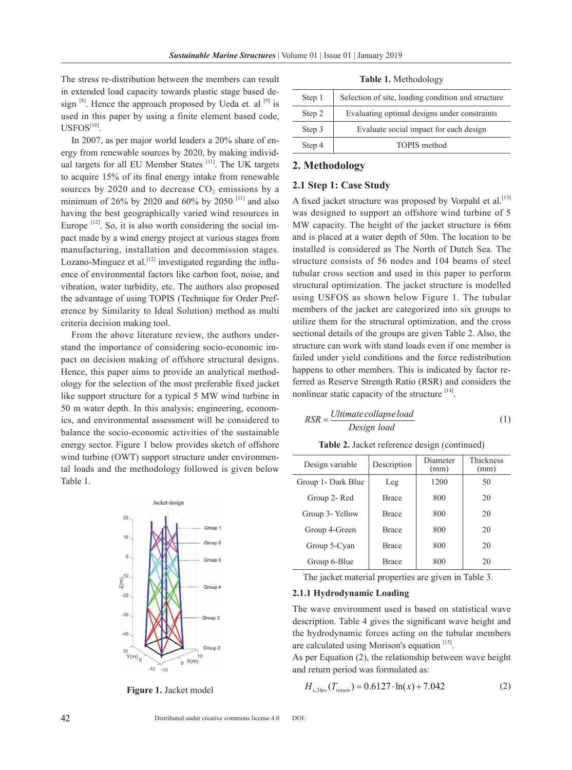## The stress re-distribution between the members can result in extended load capacity towards plastic stage based design  $[8]$ . Hence the approach proposed by Ueda et. al  $[9]$  is used in this paper by using a finite element based code,  $USFOS<sup>[10]</sup>$ .

In 2007, as per major world leaders a 20% share of energy from renewable sources by 2020, by making individual targets for all EU Member States [11]. The UK targets to acquire 15% of its final energy intake from renewable sources by  $2020$  and to decrease  $CO<sub>2</sub>$  emissions by a minimum of 26% by 2020 and 60% by 2050<sup>[11]</sup> and also having the best geographically varied wind resources in Europe  $[12]$ . So, it is also worth considering the social impact made by a wind energy project at various stages from manufacturing, installation and decommission stages. Lozano-Minguez et al.<sup>[12]</sup> investigated regarding the influence of environmental factors like carbon foot, noise, and vibration, water turbidity, etc. The authors also proposed the advantage of using TOPIS (Technique for Order Preference by Similarity to Ideal Solution) method as multi criteria decision making tool.

From the above literature review, the authors understand the importance of considering socio-economic impact on decision making of offshore structural designs. Hence, this paper aims to provide an analytical methodology for the selection of the most preferable fixed jacket like support structure for a typical 5 MW wind turbine in 50 m water depth. In this analysis; engineering, economics, and environmental assessment will be considered to balance the socio-economic activities of the sustainable energy sector. Figure 1 below provides sketch of offshore wind turbine (OWT) support structure under environmental loads and the methodology followed is given below Table 1.



**Figure 1.** Jacket model

**Table 1.** Methodology

| Step 1 | Selection of site, loading condition and structure |
|--------|----------------------------------------------------|
| Step 2 | Evaluating optimal designs under constraints       |
| Step 3 | Evaluate social impact for each design             |
| Step 4 | <b>TOPIS</b> method                                |
|        |                                                    |

#### **2. Methodology**

#### **2.1 Step 1: Case Study**

A fixed jacket structure was proposed by Vorpahl et al.<sup>[13]</sup> was designed to support an offshore wind turbine of 5 MW capacity. The height of the jacket structure is 66m and is placed at a water depth of 50m. The location to be installed is considered as The North of Dutch Sea. The structure consists of 56 nodes and 104 beams of steel tubular cross section and used in this paper to perform structural optimization. The jacket structure is modelled using USFOS as shown below Figure 1. The tubular members of the jacket are categorized into six groups to utilize them for the structural optimization, and the cross sectional details of the groups are given Table 2. Also, the structure can work with stand loads even if one member is failed under yield conditions and the force redistribution happens to other members. This is indicated by factor referred as Reserve Strength Ratio (RSR) and considers the nonlinear static capacity of the structure  $[14]$ .

$$
RSR = \frac{Ultimate\,collapse\,load}{Design\,load} \tag{1}
$$

|  |  |  |  | Table 2. Jacket reference design (continued) |
|--|--|--|--|----------------------------------------------|
|--|--|--|--|----------------------------------------------|

| Design variable    | Diameter<br>Description<br>(mm) |      | <b>Thickness</b><br>(mm) |
|--------------------|---------------------------------|------|--------------------------|
| Group 1- Dark Blue | Leg                             | 1200 | 50                       |
| Group 2- Red       | <b>Brace</b>                    | 800  | 20                       |
| Group 3- Yellow    | <b>Brace</b>                    | 800  | 20                       |
| Group 4-Green      | <b>Brace</b>                    | 800  | 20                       |
| Group 5-Cyan       | <b>Brace</b>                    | 800  | 20                       |
| Group 6-Blue       | Brace                           | 800  | 20                       |

The jacket material properties are given in Table 3.

#### **2.1.1 Hydrodynamic Loading**

The wave environment used is based on statistical wave description. Table 4 gives the significant wave height and the hydrodynamic forces acting on the tubular members are calculated using Morison's equation [15].

As per Equation (2), the relationship between wave height and return period was formulated as:

$$
H_{s,3\text{hrs}}(T_{return}) = 0.6127 \cdot \ln(x) + 7.042\tag{2}
$$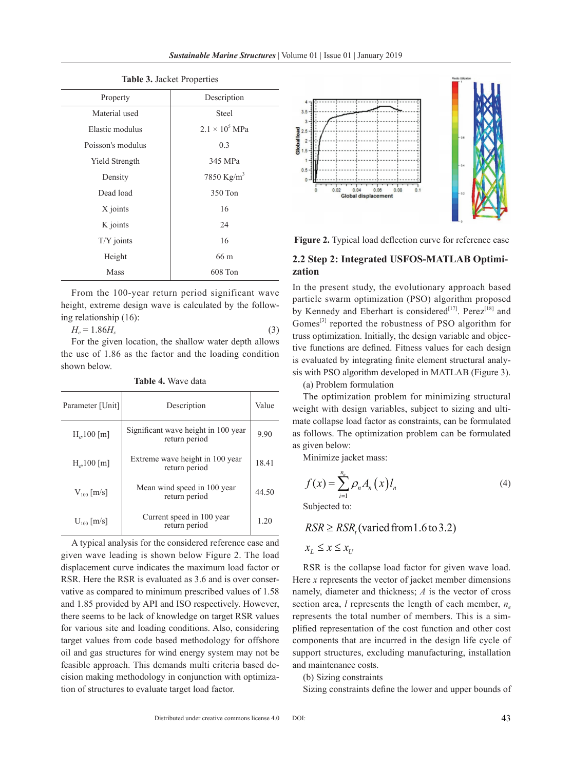| Property          | Description            |  |  |
|-------------------|------------------------|--|--|
| Material used     | <b>Steel</b>           |  |  |
| Elastic modulus   | $2.1 \times 10^5$ MPa  |  |  |
| Poisson's modulus | 0.3                    |  |  |
| Yield Strength    | 345 MPa                |  |  |
| Density           | 7850 Kg/m <sup>3</sup> |  |  |
| Dead load         | 350 Ton                |  |  |
| X joints          | 16                     |  |  |
| K joints          | 24                     |  |  |
| $T/Y$ joints      | 16                     |  |  |
| Height            | 66 m                   |  |  |
| Mass              | 608 Ton                |  |  |

**Table 3.** Jacket Properties

From the 100-year return period significant wave height, extreme design wave is calculated by the following relationship (16):

$$
H_e = 1.86H_s \tag{3}
$$

For the given location, the shallow water depth allows the use of 1.86 as the factor and the loading condition shown below.

**Table 4.** Wave data

| Parameter [Unit] | Description                                          | Value |
|------------------|------------------------------------------------------|-------|
| $H_s$ , 100 [m]  | Significant wave height in 100 year<br>return period | 9.90  |
| $H_e$ , 100 [m]  | Extreme wave height in 100 year<br>return period     | 18.41 |
| $V_{100}$ [m/s]  | Mean wind speed in 100 year<br>return period         | 44.50 |
| $U_{100}$ [m/s]  | Current speed in 100 year<br>return period           | 1.20  |

A typical analysis for the considered reference case and given wave leading is shown below Figure 2. The load displacement curve indicates the maximum load factor or RSR. Here the RSR is evaluated as 3.6 and is over conservative as compared to minimum prescribed values of 1.58 and 1.85 provided by API and ISO respectively. However, there seems to be lack of knowledge on target RSR values for various site and loading conditions. Also, considering target values from code based methodology for offshore oil and gas structures for wind energy system may not be feasible approach. This demands multi criteria based decision making methodology in conjunction with optimization of structures to evaluate target load factor.



**Figure 2.** Typical load deflection curve for reference case

# **2.2 Step 2: Integrated USFOS-MATLAB Optimization**

In the present study, the evolutionary approach based particle swarm optimization (PSO) algorithm proposed by Kennedy and Eberhart is considered<sup>[17]</sup>. Perez<sup>[18]</sup> and Gomes<sup>[3]</sup> reported the robustness of PSO algorithm for truss optimization. Initially, the design variable and objective functions are defined. Fitness values for each design is evaluated by integrating finite element structural analysis with PSO algorithm developed in MATLAB (Figure 3).

(a) Problem formulation

The optimization problem for minimizing structural weight with design variables, subject to sizing and ultimate collapse load factor as constraints, can be formulated as follows. The optimization problem can be formulated as given below:

Minimize jacket mass:

$$
f(x) = \sum_{i=1}^{n_e} \rho_n A_n(x) l_n \tag{4}
$$

Subjected to:

$$
RSR \geq RSR_t \text{(varied from 1.6 to 3.2)}
$$
\n
$$
x_L \leq x \leq x_U
$$

RSR is the collapse load factor for given wave load. Here *x* represents the vector of jacket member dimensions namely, diameter and thickness; *A* is the vector of cross section area, *l* represents the length of each member, *ne* represents the total number of members. This is a simplified representation of the cost function and other cost components that are incurred in the design life cycle of support structures, excluding manufacturing, installation and maintenance costs.

#### (b) Sizing constraints

Sizing constraints define the lower and upper bounds of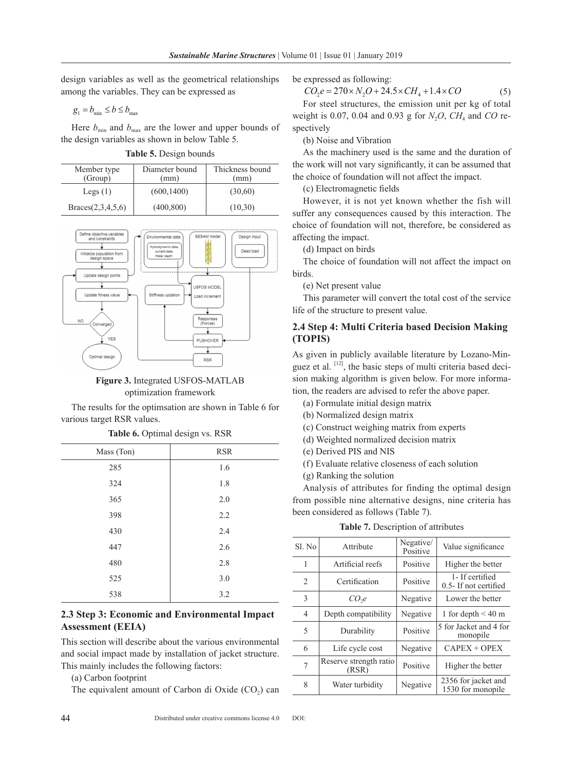design variables as well as the geometrical relationships among the variables. They can be expressed as

$$
g_1 = b_{\min} \le b \le b_{\max}
$$

Here  $b_{\text{min}}$  and  $b_{\text{max}}$  are the lower and upper bounds of the design variables as shown in below Table 5.

| Member type<br>(Group) | Diameter bound<br>(mm) | Thickness bound<br>(mm) |
|------------------------|------------------------|-------------------------|
| Legs $(1)$             | (600, 1400)            | (30,60)                 |
| Braces(2,3,4,5,6)      | (400, 800)             | (10,30)                 |



**Figure 3.** Integrated USFOS-MATLAB optimization framework

The results for the optimsation are shown in Table 6 for various target RSR values.

| Mass (Ton) | <b>RSR</b> |
|------------|------------|
| 285        | 1.6        |
| 324        | 1.8        |
| 365        | 2.0        |
| 398        | 2.2        |
| 430        | 2.4        |
| 447        | 2.6        |
| 480        | 2.8        |
| 525        | 3.0        |
| 538        | 3.2        |

**Table 6.** Optimal design vs. RSR

# **2.3 Step 3: Economic and Environmental Impact Assessment (EEIA)**

This section will describe about the various environmental and social impact made by installation of jacket structure. This mainly includes the following factors:

(a) Carbon footprint

The equivalent amount of Carbon di Oxide  $(CO<sub>2</sub>)$  can

be expressed as following:

$$
CO_2 e = 270 \times N_2 O + 24.5 \times CH_4 + 1.4 \times CO
$$
 (5)

For steel structures, the emission unit per kg of total weight is 0.07, 0.04 and 0.93 g for  $N_2O$ ,  $CH_4$  and  $CO$  respectively

(b) Noise and Vibration

As the machinery used is the same and the duration of the work will not vary significantly, it can be assumed that the choice of foundation will not affect the impact.

(c) Electromagnetic fields

However, it is not yet known whether the fish will suffer any consequences caused by this interaction. The choice of foundation will not, therefore, be considered as affecting the impact.

(d) Impact on birds

The choice of foundation will not affect the impact on birds.

(e) Net present value

This parameter will convert the total cost of the service life of the structure to present value.

## **2.4 Step 4: Multi Criteria based Decision Making (TOPIS)**

As given in publicly available literature by Lozano-Minguez et al.  $[12]$ , the basic steps of multi criteria based decision making algorithm is given below. For more information, the readers are advised to refer the above paper.

- (a) Formulate initial design matrix
- (b) Normalized design matrix
- (c) Construct weighing matrix from experts
- (d) Weighted normalized decision matrix
- (e) Derived PIS and NIS
- (f ) Evaluate relative closeness of each solution
- (g) Ranking the solution

Analysis of attributes for finding the optimal design from possible nine alternative designs, nine criteria has been considered as follows (Table 7).

| Sl. No         | Attribute                       | Negative/<br>Positive | Value significance                          |
|----------------|---------------------------------|-----------------------|---------------------------------------------|
| 1              | Artificial reefs                | Positive              | Higher the better                           |
| 2              | Certification                   | Positive              | 1- If certified<br>$0.5$ - If not certified |
| 3              | CO <sub>2</sub>                 | Negative              | Lower the better                            |
| $\overline{4}$ | Depth compatibility             | Negative              | 1 for depth $\leq 40$ m                     |
| 5              | Durability                      | Positive              | 5 for Jacket and 4 for<br>monopile          |
| 6              | Life cycle cost                 | Negative              | $CAPEX + OPEX$                              |
| 7              | Reserve strength ratio<br>(RSR) | Positive              | Higher the better                           |
| 8              | Water turbidity                 | Negative              | 2356 for jacket and<br>1530 for monopile    |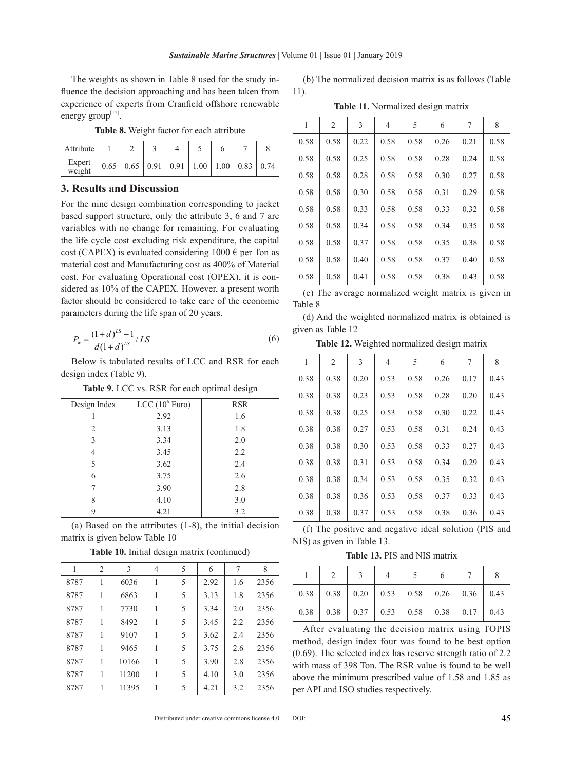The weights as shown in Table 8 used for the study influence the decision approaching and has been taken from experience of experts from Cranfield offshore renewable energy group $^{[12]}$ .

|  |  |  |  |  | Table 8. Weight factor for each attribute |
|--|--|--|--|--|-------------------------------------------|
|--|--|--|--|--|-------------------------------------------|

| Attribute        |      |                  |             |              |      |      |      |
|------------------|------|------------------|-------------|--------------|------|------|------|
| Expert<br>weight | 0.65 | $0.65 \mid 0.91$ | $\mid$ 0.91 | $\vert$ 1.00 | 1.00 | 0.83 | 0.74 |

### **3. Results and Discussion**

For the nine design combination corresponding to jacket based support structure, only the attribute 3, 6 and 7 are variables with no change for remaining. For evaluating the life cycle cost excluding risk expenditure, the capital cost (CAPEX) is evaluated considering  $1000 \text{ } \in \text{per}$  Ton as material cost and Manufacturing cost as 400% of Material cost. For evaluating Operational cost (OPEX), it is considered as 10% of the CAPEX. However, a present worth factor should be considered to take care of the economic parameters during the life span of 20 years.

$$
P_w = \frac{(1+d)^{LS} - 1}{d(1+d)^{LS}} / LS
$$
 (6)

Below is tabulated results of LCC and RSR for each design index (Table 9).

**Table 9.** LCC vs. RSR for each optimal design

| Design Index | LCC $(10^6$ Euro) | <b>RSR</b> |
|--------------|-------------------|------------|
|              | 2.92              | 1.6        |
| 2            | 3.13              | 1.8        |
| 3            | 3.34              | 2.0        |
| 4            | 3.45              | 2.2        |
| 5            | 3.62              | 2.4        |
| 6            | 3.75              | 2.6        |
| 7            | 3.90              | 2.8        |
| 8            | 4.10              | 3.0        |
| Q            | 4.21              | 3.2        |

(a) Based on the attributes (1-8), the initial decision matrix is given below Table 10

| 1    | $\overline{2}$ | 3     | 4 | 5 | 6    | 7   | 8    |
|------|----------------|-------|---|---|------|-----|------|
| 8787 | 1              | 6036  | 1 | 5 | 2.92 | 1.6 | 2356 |
| 8787 | 1              | 6863  |   | 5 | 3.13 | 1.8 | 2356 |
| 8787 | 1              | 7730  |   | 5 | 3.34 | 2.0 | 2356 |
| 8787 | 1              | 8492  | 1 | 5 | 3.45 | 2.2 | 2356 |
| 8787 | 1              | 9107  |   | 5 | 3.62 | 2.4 | 2356 |
| 8787 | 1              | 9465  |   | 5 | 3.75 | 2.6 | 2356 |
| 8787 | 1              | 10166 | 1 | 5 | 3.90 | 2.8 | 2356 |
| 8787 |                | 11200 |   | 5 | 4.10 | 3.0 | 2356 |
| 8787 |                | 11395 |   | 5 | 4.21 | 3.2 | 2356 |

**Table 10.** Initial design matrix (continued)

(b) The normalized decision matrix is as follows (Table 11).

**Table 11.** Normalized design matrix

| 1    | 2    | 3    | $\overline{4}$ | 5    | 6    | 7    | 8    |
|------|------|------|----------------|------|------|------|------|
| 0.58 | 0.58 | 0.22 | 0.58           | 0.58 | 0.26 | 0.21 | 0.58 |
| 0.58 | 0.58 | 0.25 | 0.58           | 0.58 | 0.28 | 0.24 | 0.58 |
| 0.58 | 0.58 | 0.28 | 0.58           | 0.58 | 0.30 | 0.27 | 0.58 |
| 0.58 | 0.58 | 0.30 | 0.58           | 0.58 | 0.31 | 0.29 | 0.58 |
| 0.58 | 0.58 | 0.33 | 0.58           | 0.58 | 0.33 | 0.32 | 0.58 |
| 0.58 | 0.58 | 0.34 | 0.58           | 0.58 | 0.34 | 0.35 | 0.58 |
| 0.58 | 0.58 | 0.37 | 0.58           | 0.58 | 0.35 | 0.38 | 0.58 |
| 0.58 | 0.58 | 0.40 | 0.58           | 0.58 | 0.37 | 0.40 | 0.58 |
| 0.58 | 0.58 | 0.41 | 0.58           | 0.58 | 0.38 | 0.43 | 0.58 |

(c) The average normalized weight matrix is given in Table 8

(d) And the weighted normalized matrix is obtained is given as Table 12

**Table 12.** Weighted normalized design matrix

| 1    | $\overline{2}$ | 3    | 4    | 5    | 6    | 7    | 8    |
|------|----------------|------|------|------|------|------|------|
| 0.38 | 0.38           | 0.20 | 0.53 | 0.58 | 0.26 | 0.17 | 0.43 |
| 0.38 | 0.38           | 0.23 | 0.53 | 0.58 | 0.28 | 0.20 | 0.43 |
| 0.38 | 0.38           | 0.25 | 0.53 | 0.58 | 0.30 | 0.22 | 0.43 |
| 0.38 | 0.38           | 0.27 | 0.53 | 0.58 | 0.31 | 0.24 | 0.43 |
| 0.38 | 0.38           | 0.30 | 0.53 | 0.58 | 0.33 | 0.27 | 0.43 |
| 0.38 | 0.38           | 0.31 | 0.53 | 0.58 | 0.34 | 0.29 | 0.43 |
| 0.38 | 0.38           | 0.34 | 0.53 | 0.58 | 0.35 | 0.32 | 0.43 |
| 0.38 | 0.38           | 0.36 | 0.53 | 0.58 | 0.37 | 0.33 | 0.43 |
| 0.38 | 0.38           | 0.37 | 0.53 | 0.58 | 0.38 | 0.36 | 0.43 |

(f) The positive and negative ideal solution (PIS and NIS) as given in Table 13.

**Table 13.** PIS and NIS matrix

|                                                         | $1 \mid 2 \mid 3 \mid 4 \mid 5 \mid 6 \mid 7 \mid 8$    |  |  |  |
|---------------------------------------------------------|---------------------------------------------------------|--|--|--|
|                                                         | $0.38$   0.38   0.20   0.53   0.58   0.26   0.36   0.43 |  |  |  |
| $0.38$   0.38   0.37   0.53   0.58   0.38   0.17   0.43 |                                                         |  |  |  |

After evaluating the decision matrix using TOPIS method, design index four was found to be best option (0.69). The selected index has reserve strength ratio of 2.2 with mass of 398 Ton. The RSR value is found to be well above the minimum prescribed value of 1.58 and 1.85 as per API and ISO studies respectively.